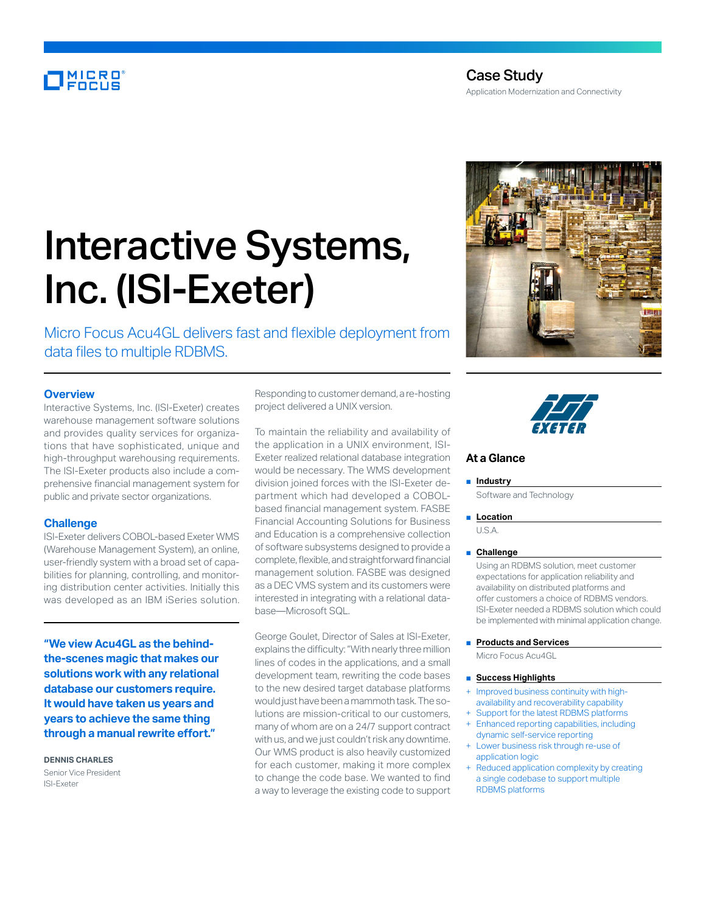# MICRO<br>Encus

# Interactive Systems, Inc. (ISI-Exeter)

Micro Focus Acu4GL delivers fast and flexible deployment from data files to multiple RDBMS.

# **Overview**

Interactive Systems, Inc. (ISI-Exeter) creates warehouse management software solutions and provides quality services for organizations that have sophisticated, unique and high-throughput warehousing requirements. The ISI-Exeter products also include a comprehensive financial management system for public and private sector organizations.

### **Challenge**

ISI-Exeter delivers COBOL-based Exeter WMS (Warehouse Management System), an online, user-friendly system with a broad set of capabilities for planning, controlling, and monitoring distribution center activities. Initially this was developed as an IBM iSeries solution.

**"We view Acu4GL as the behindthe-scenes magic that makes our solutions work with any relational database our customers require. It would have taken us years and years to achieve the same thing through a manual rewrite effort."**

**DENNIS CHARLES** Senior Vice President ISI-Exeter

Responding to customer demand, a re-hosting project delivered a UNIX version.

To maintain the reliability and availability of the application in a UNIX environment, ISI-Exeter realized relational database integration would be necessary. The WMS development division joined forces with the ISI-Exeter department which had developed a COBOLbased financial management system. FASBE Financial Accounting Solutions for Business and Education is a comprehensive collection of software subsystems designed to provide a complete, flexible, and straightforward financial management solution. FASBE was designed as a DEC VMS system and its customers were interested in integrating with a relational database—Microsoft SQL.

George Goulet, Director of Sales at ISI-Exeter, explains the difficulty: "With nearly three million lines of codes in the applications, and a small development team, rewriting the code bases to the new desired target database platforms would just have been a mammoth task. The solutions are mission-critical to our customers, many of whom are on a 24/7 support contract with us, and we just couldn't risk any downtime. Our WMS product is also heavily customized for each customer, making it more complex to change the code base. We wanted to find a way to leverage the existing code to support





# **At a Glance**

#### ■ **Industry**

Software and Technology

■ **Location** 

U.S.A.

#### ■ **Challenge**

Using an RDBMS solution, meet customer expectations for application reliability and availability on distributed platforms and offer customers a choice of RDBMS vendors. ISI-Exeter needed a RDBMS solution which could be implemented with minimal application change.

■ **Products and Services** 

Micro Focus Acu4GL

# ■ **Success Highlights**

- Improved business continuity with highavailability and recoverability capability
- Support for the latest RDBMS platforms
- Enhanced reporting capabilities, including dynamic self-service reporting
- Lower business risk through re-use of application logic
- Reduced application complexity by creating a single codebase to support multiple RDBMS platforms